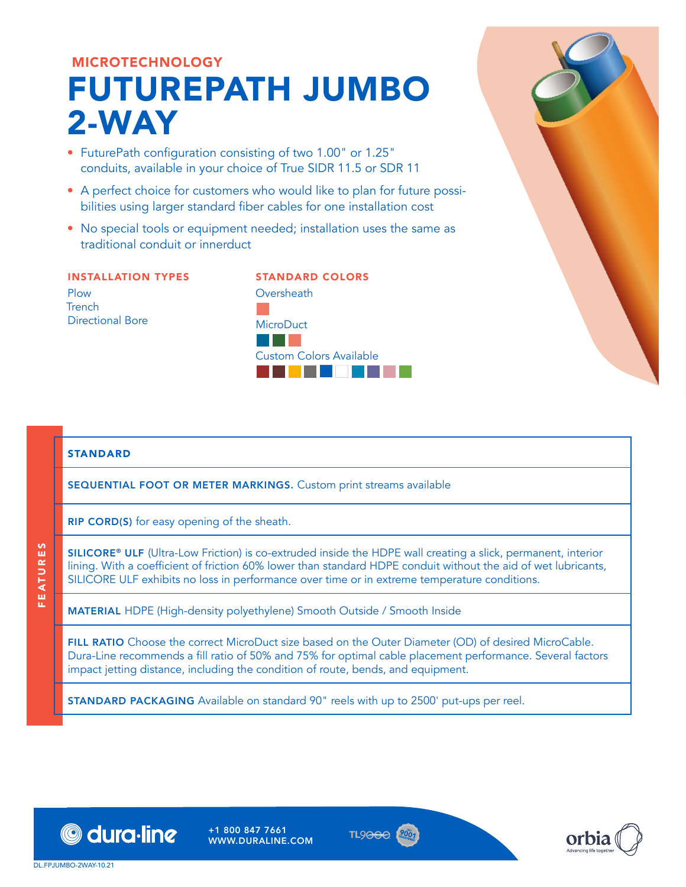# MICROTECHNOLOGY FUTUREPATH JUMBO 2-WAY

- FuturePath configuration consisting of two 1.00" or 1.25" conduits, available in your choice of True SIDR 11.5 or SDR 11
- A perfect choice for customers who would like to plan for future possibilities using larger standard fiber cables for one installation cost
- No special tools or equipment needed; installation uses the same as traditional conduit or innerduct

#### INSTALLATION TYPES Plow **Trench** Directional Bore

## STANDARD COLORS **Oversheath** D **MicroDuct** BGD Custom Colors Available SCXFAWYZba

### STANDARD

FEATURES

FEATURES

SEQUENTIAL FOOT OR METER MARKINGS. Custom print streams available

RIP CORD(S) for easy opening of the sheath.

SILICORE® ULF (Ultra-Low Friction) is co-extruded inside the HDPE wall creating a slick, permanent, interior lining. With a coefficient of friction 60% lower than standard HDPE conduit without the aid of wet lubricants, SILICORE ULF exhibits no loss in performance over time or in extreme temperature conditions.

MATERIAL HDPE (High-density polyethylene) Smooth Outside / Smooth Inside

FILL RATIO Choose the correct MicroDuct size based on the Outer Diameter (OD) of desired MicroCable. Dura-Line recommends a fill ratio of 50% and 75% for optimal cable placement performance. Several factors impact jetting distance, including the condition of route, bends, and equipment.

STANDARD PACKAGING Available on standard 90" reels with up to 2500' put-ups per reel.



+1 800 847 7661 WWW.DURALINE.COM